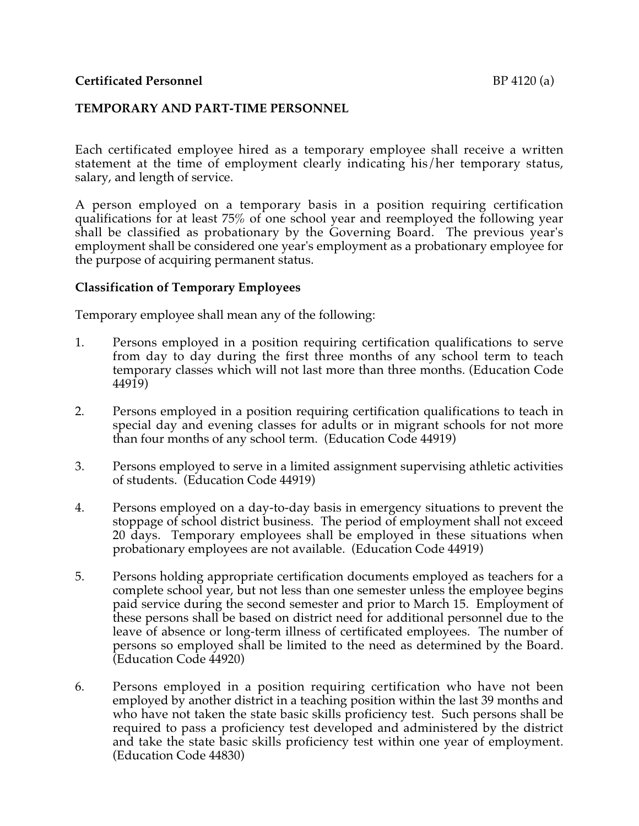## **TEMPORARY AND PART-TIME PERSONNEL**

Each certificated employee hired as a temporary employee shall receive a written statement at the time of employment clearly indicating his/her temporary status, salary, and length of service.

A person employed on a temporary basis in a position requiring certification qualifications for at least 75% of one school year and reemployed the following year shall be classified as probationary by the Governing Board. The previous year's employment shall be considered one year's employment as a probationary employee for the purpose of acquiring permanent status.

## **Classification of Temporary Employees**

Temporary employee shall mean any of the following:

- 1. Persons employed in a position requiring certification qualifications to serve from day to day during the first three months of any school term to teach temporary classes which will not last more than three months. (Education Code 44919)
- 2. Persons employed in a position requiring certification qualifications to teach in special day and evening classes for adults or in migrant schools for not more than four months of any school term. (Education Code 44919)
- 3. Persons employed to serve in a limited assignment supervising athletic activities of students. (Education Code 44919)
- 4. Persons employed on a day-to-day basis in emergency situations to prevent the stoppage of school district business. The period of employment shall not exceed 20 days. Temporary employees shall be employed in these situations when probationary employees are not available. (Education Code 44919)
- 5. Persons holding appropriate certification documents employed as teachers for a complete school year, but not less than one semester unless the employee begins paid service during the second semester and prior to March 15. Employment of these persons shall be based on district need for additional personnel due to the leave of absence or long-term illness of certificated employees. The number of persons so employed shall be limited to the need as determined by the Board. (Education Code 44920)
- 6. Persons employed in a position requiring certification who have not been employed by another district in a teaching position within the last 39 months and who have not taken the state basic skills proficiency test. Such persons shall be required to pass a proficiency test developed and administered by the district and take the state basic skills proficiency test within one year of employment. (Education Code 44830)